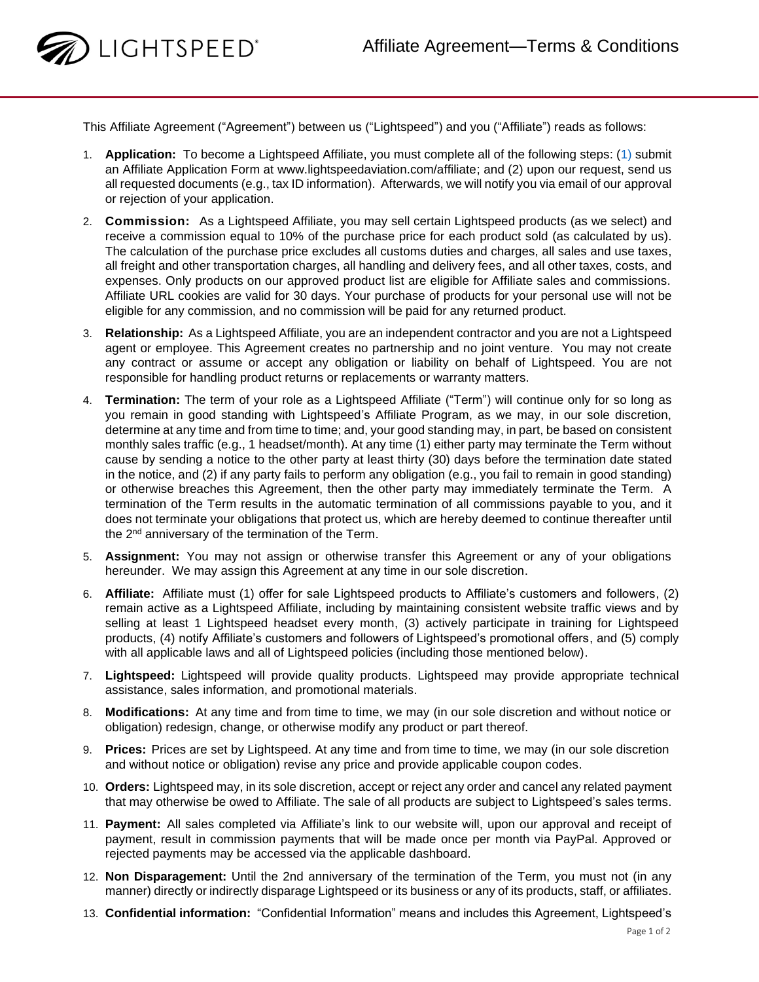

This Affiliate Agreement ("Agreement") between us ("Lightspeed") and you ("Affiliate") reads as follows:

- 1. **Application:** To become a Lightspeed Affiliate, you must complete all of the following steps: (1) submit an Affiliate Application Form at www.lightspeedaviation.com/affiliate; and (2) upon our request, send us all requested documents (e.g., tax ID information). Afterwards, we will notify you via email of our approval or rejection of your application.
- 2. **Commission:** As a Lightspeed Affiliate, you may sell certain Lightspeed products (as we select) and receive a commission equal to 10% of the purchase price for each product sold (as calculated by us). The calculation of the purchase price excludes all customs duties and charges, all sales and use taxes, all freight and other transportation charges, all handling and delivery fees, and all other taxes, costs, and expenses. Only products on our approved product list are eligible for Affiliate sales and commissions. Affiliate URL cookies are valid for 30 days. Your purchase of products for your personal use will not be eligible for any commission, and no commission will be paid for any returned product.
- 3. **Relationship:** As a Lightspeed Affiliate, you are an independent contractor and you are not a Lightspeed agent or employee. This Agreement creates no partnership and no joint venture. You may not create any contract or assume or accept any obligation or liability on behalf of Lightspeed. You are not responsible for handling product returns or replacements or warranty matters.
- 4. **Termination:** The term of your role as a Lightspeed Affiliate ("Term") will continue only for so long as you remain in good standing with Lightspeed's Affiliate Program, as we may, in our sole discretion, determine at any time and from time to time; and, your good standing may, in part, be based on consistent monthly sales traffic (e.g., 1 headset/month). At any time (1) either party may terminate the Term without cause by sending a notice to the other party at least thirty (30) days before the termination date stated in the notice, and (2) if any party fails to perform any obligation (e.g., you fail to remain in good standing) or otherwise breaches this Agreement, then the other party may immediately terminate the Term. A termination of the Term results in the automatic termination of all commissions payable to you, and it does not terminate your obligations that protect us, which are hereby deemed to continue thereafter until the 2<sup>nd</sup> anniversary of the termination of the Term.
- 5. **Assignment:** You may not assign or otherwise transfer this Agreement or any of your obligations hereunder. We may assign this Agreement at any time in our sole discretion.
- 6. **Affiliate:** Affiliate must (1) offer for sale Lightspeed products to Affiliate's customers and followers, (2) remain active as a Lightspeed Affiliate, including by maintaining consistent website traffic views and by selling at least 1 Lightspeed headset every month, (3) actively participate in training for Lightspeed products, (4) notify Affiliate's customers and followers of Lightspeed's promotional offers, and (5) comply with all applicable laws and all of Lightspeed policies (including those mentioned below).
- 7. **Lightspeed:** Lightspeed will provide quality products. Lightspeed may provide appropriate technical assistance, sales information, and promotional materials.
- 8. **Modifications:** At any time and from time to time, we may (in our sole discretion and without notice or obligation) redesign, change, or otherwise modify any product or part thereof.
- 9. **Prices:** Prices are set by Lightspeed. At any time and from time to time, we may (in our sole discretion and without notice or obligation) revise any price and provide applicable coupon codes.
- 10. **Orders:** Lightspeed may, in its sole discretion, accept or reject any order and cancel any related payment that may otherwise be owed to Affiliate. The sale of all products are subject to Lightspeed's sales terms.
- 11. **Payment:** All sales completed via Affiliate's link to our website will, upon our approval and receipt of payment, result in commission payments that will be made once per month via PayPal. Approved or rejected payments may be accessed via the applicable dashboard.
- 12. **Non Disparagement:** Until the 2nd anniversary of the termination of the Term, you must not (in any manner) directly or indirectly disparage Lightspeed or its business or any of its products, staff, or affiliates.
- 13. **Confidential information:** "Confidential Information" means and includes this Agreement, Lightspeed's